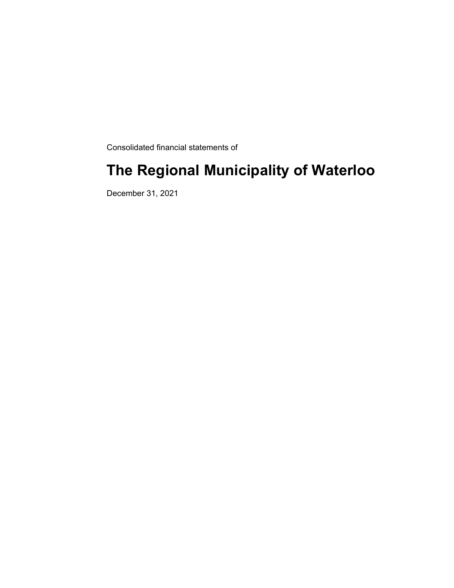Consolidated financial statements of

# **The Regional Municipality of Waterloo**

December 31, 2021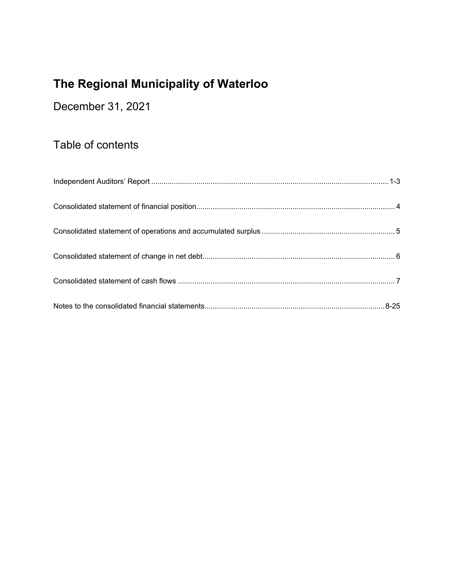December 31, 2021

# Table of contents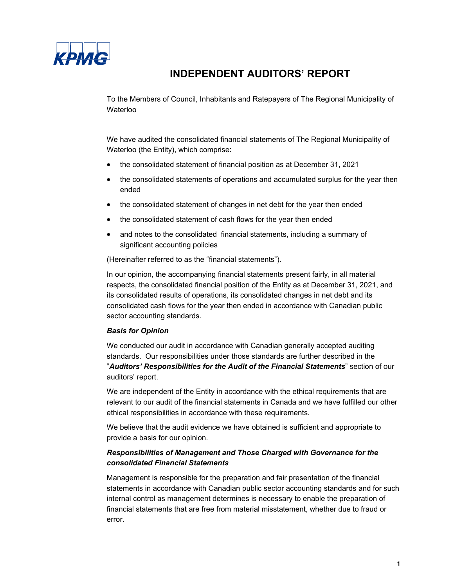

### **INDEPENDENT AUDITORS' REPORT**

To the Members of Council, Inhabitants and Ratepayers of The Regional Municipality of Waterloo

We have audited the consolidated financial statements of The Regional Municipality of Waterloo (the Entity), which comprise:

- the consolidated statement of financial position as at December 31, 2021
- the consolidated statements of operations and accumulated surplus for the year then ended
- the consolidated statement of changes in net debt for the year then ended
- the consolidated statement of cash flows for the year then ended
- and notes to the consolidated financial statements, including a summary of significant accounting policies

(Hereinafter referred to as the "financial statements").

In our opinion, the accompanying financial statements present fairly, in all material respects, the consolidated financial position of the Entity as at December 31, 2021, and its consolidated results of operations, its consolidated changes in net debt and its consolidated cash flows for the year then ended in accordance with Canadian public sector accounting standards.

#### *Basis for Opinion*

We conducted our audit in accordance with Canadian generally accepted auditing standards. Our responsibilities under those standards are further described in the "*Auditors' Responsibilities for the Audit of the Financial Statements*" section of our auditors' report.

We are independent of the Entity in accordance with the ethical requirements that are relevant to our audit of the financial statements in Canada and we have fulfilled our other ethical responsibilities in accordance with these requirements.

We believe that the audit evidence we have obtained is sufficient and appropriate to provide a basis for our opinion.

#### *Responsibilities of Management and Those Charged with Governance for the consolidated Financial Statements*

Management is responsible for the preparation and fair presentation of the financial statements in accordance with Canadian public sector accounting standards and for such internal control as management determines is necessary to enable the preparation of financial statements that are free from material misstatement, whether due to fraud or error.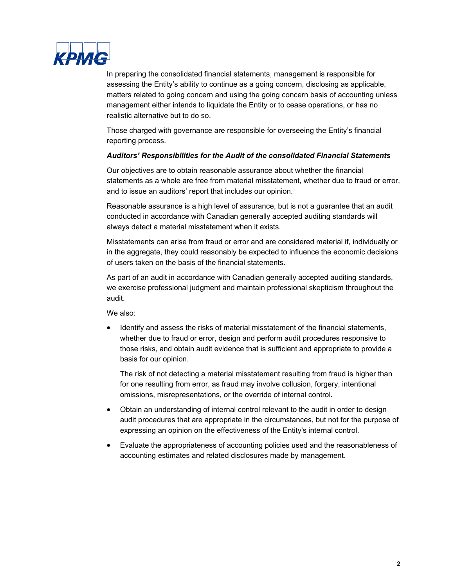

In preparing the consolidated financial statements, management is responsible for assessing the Entity's ability to continue as a going concern, disclosing as applicable, matters related to going concern and using the going concern basis of accounting unless management either intends to liquidate the Entity or to cease operations, or has no realistic alternative but to do so.

Those charged with governance are responsible for overseeing the Entity's financial reporting process.

#### *Auditors' Responsibilities for the Audit of the consolidated Financial Statements*

Our objectives are to obtain reasonable assurance about whether the financial statements as a whole are free from material misstatement, whether due to fraud or error, and to issue an auditors' report that includes our opinion.

Reasonable assurance is a high level of assurance, but is not a guarantee that an audit conducted in accordance with Canadian generally accepted auditing standards will always detect a material misstatement when it exists.

Misstatements can arise from fraud or error and are considered material if, individually or in the aggregate, they could reasonably be expected to influence the economic decisions of users taken on the basis of the financial statements.

As part of an audit in accordance with Canadian generally accepted auditing standards, we exercise professional judgment and maintain professional skepticism throughout the audit.

We also:

 Identify and assess the risks of material misstatement of the financial statements, whether due to fraud or error, design and perform audit procedures responsive to those risks, and obtain audit evidence that is sufficient and appropriate to provide a basis for our opinion.

The risk of not detecting a material misstatement resulting from fraud is higher than for one resulting from error, as fraud may involve collusion, forgery, intentional omissions, misrepresentations, or the override of internal control.

- Obtain an understanding of internal control relevant to the audit in order to design audit procedures that are appropriate in the circumstances, but not for the purpose of expressing an opinion on the effectiveness of the Entity's internal control.
- Evaluate the appropriateness of accounting policies used and the reasonableness of accounting estimates and related disclosures made by management.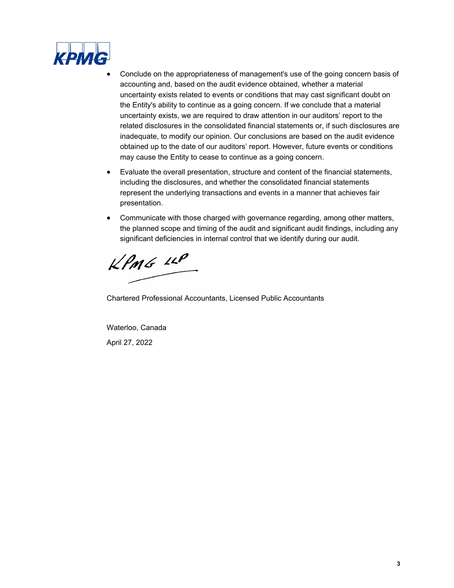

- Conclude on the appropriateness of management's use of the going concern basis of accounting and, based on the audit evidence obtained, whether a material uncertainty exists related to events or conditions that may cast significant doubt on the Entity's ability to continue as a going concern. If we conclude that a material uncertainty exists, we are required to draw attention in our auditors' report to the related disclosures in the consolidated financial statements or, if such disclosures are inadequate, to modify our opinion. Our conclusions are based on the audit evidence obtained up to the date of our auditors' report. However, future events or conditions may cause the Entity to cease to continue as a going concern.
- Evaluate the overall presentation, structure and content of the financial statements, including the disclosures, and whether the consolidated financial statements represent the underlying transactions and events in a manner that achieves fair presentation.
- Communicate with those charged with governance regarding, among other matters, the planned scope and timing of the audit and significant audit findings, including any significant deficiencies in internal control that we identify during our audit.

 $KPMG$  11P

Chartered Professional Accountants, Licensed Public Accountants

Waterloo, Canada April 27, 2022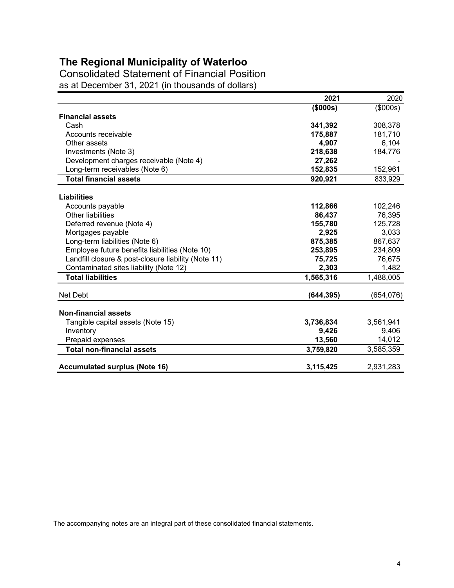Consolidated Statement of Financial Position as at December 31, 2021 (in thousands of dollars)

|                                                     | 2021       | 2020       |
|-----------------------------------------------------|------------|------------|
|                                                     | (\$000s)   | (\$000s)   |
| <b>Financial assets</b>                             |            |            |
| Cash                                                | 341,392    | 308,378    |
| Accounts receivable                                 | 175,887    | 181,710    |
| Other assets                                        | 4,907      | 6,104      |
| Investments (Note 3)                                | 218,638    | 184,776    |
| Development charges receivable (Note 4)             | 27,262     |            |
| Long-term receivables (Note 6)                      | 152,835    | 152,961    |
| <b>Total financial assets</b>                       | 920,921    | 833,929    |
| <b>Liabilities</b>                                  |            |            |
| Accounts payable                                    | 112,866    | 102,246    |
| <b>Other liabilities</b>                            | 86,437     | 76,395     |
| Deferred revenue (Note 4)                           | 155,780    | 125,728    |
| Mortgages payable                                   | 2,925      | 3,033      |
| Long-term liabilities (Note 6)                      | 875,385    | 867,637    |
| Employee future benefits liabilities (Note 10)      | 253,895    | 234,809    |
| Landfill closure & post-closure liability (Note 11) | 75,725     | 76,675     |
| Contaminated sites liability (Note 12)              | 2,303      | 1,482      |
| <b>Total liabilities</b>                            | 1,565,316  | 1,488,005  |
| Net Debt                                            | (644, 395) | (654, 076) |
| <b>Non-financial assets</b>                         |            |            |
| Tangible capital assets (Note 15)                   | 3,736,834  | 3,561,941  |
| Inventory                                           | 9,426      | 9,406      |
| Prepaid expenses                                    | 13,560     | 14,012     |
| <b>Total non-financial assets</b>                   | 3,759,820  | 3,585,359  |
| <b>Accumulated surplus (Note 16)</b>                | 3,115,425  | 2,931,283  |

The accompanying notes are an integral part of these consolidated financial statements.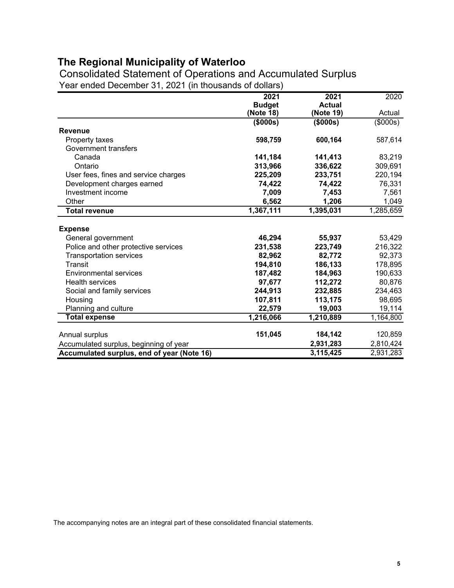Consolidated Statement of Operations and Accumulated Surplus Year ended December 31, 2021 (in thousands of dollars)

|                                            | 2021          | 2021          | 2020           |
|--------------------------------------------|---------------|---------------|----------------|
|                                            | <b>Budget</b> | <b>Actual</b> |                |
|                                            | (Note 18)     | (Note 19)     | Actual         |
|                                            | $($ \$000s)   | (\$000s)      | $($ \$000s $)$ |
| <b>Revenue</b>                             |               |               |                |
| Property taxes                             | 598,759       | 600,164       | 587,614        |
| Government transfers                       |               |               |                |
| Canada                                     | 141,184       | 141,413       | 83,219         |
| Ontario                                    | 313,966       | 336,622       | 309,691        |
| User fees, fines and service charges       | 225,209       | 233,751       | 220,194        |
| Development charges earned                 | 74,422        | 74,422        | 76,331         |
| Investment income                          | 7,009         | 7,453         | 7,561          |
| Other                                      | 6,562         | 1,206         | 1,049          |
| <b>Total revenue</b>                       | 1,367,111     | 1,395,031     | 1,285,659      |
|                                            |               |               |                |
| <b>Expense</b>                             |               |               |                |
| General government                         | 46,294        | 55,937        | 53,429         |
| Police and other protective services       | 231,538       | 223,749       | 216,322        |
| <b>Transportation services</b>             | 82,962        | 82,772        | 92,373         |
| <b>Transit</b>                             | 194,810       | 186,133       | 178,895        |
| <b>Environmental services</b>              | 187,482       | 184,963       | 190,633        |
| <b>Health services</b>                     | 97,677        | 112,272       | 80,876         |
| Social and family services                 | 244,913       | 232,885       | 234,463        |
| Housing                                    | 107,811       | 113,175       | 98,695         |
| Planning and culture                       | 22,579        | 19,003        | 19,114         |
| <b>Total expense</b>                       | 1,216,066     | 1,210,889     | 1,164,800      |
|                                            |               |               |                |
| Annual surplus                             | 151,045       | 184,142       | 120,859        |
| Accumulated surplus, beginning of year     |               | 2,931,283     | 2,810,424      |
| Accumulated surplus, end of year (Note 16) |               | 3,115,425     | 2,931,283      |

The accompanying notes are an integral part of these consolidated financial statements.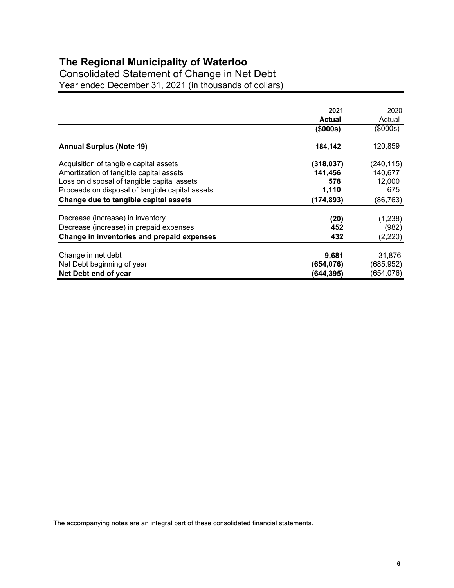Consolidated Statement of Change in Net Debt Year ended December 31, 2021 (in thousands of dollars)

|                                                 | 2021          | 2020       |
|-------------------------------------------------|---------------|------------|
|                                                 | <b>Actual</b> | Actual     |
|                                                 | (\$000s)      | (\$000s)   |
| <b>Annual Surplus (Note 19)</b>                 | 184,142       | 120,859    |
| Acquisition of tangible capital assets          | (318, 037)    | (240, 115) |
| Amortization of tangible capital assets         | 141,456       | 140,677    |
| Loss on disposal of tangible capital assets     | 578           | 12,000     |
| Proceeds on disposal of tangible capital assets | 1,110         | 675        |
| Change due to tangible capital assets           | (174, 893)    | (86, 763)  |
| Decrease (increase) in inventory                | (20)          | (1,238)    |
| Decrease (increase) in prepaid expenses         | 452           | (982)      |
| Change in inventories and prepaid expenses      | 432           | (2,220)    |
| Change in net debt                              | 9,681         | 31,876     |
| Net Debt beginning of year                      | (654,076)     | (685,952)  |
| Net Debt end of year                            | (644, 395)    | (654,076)  |

The accompanying notes are an integral part of these consolidated financial statements.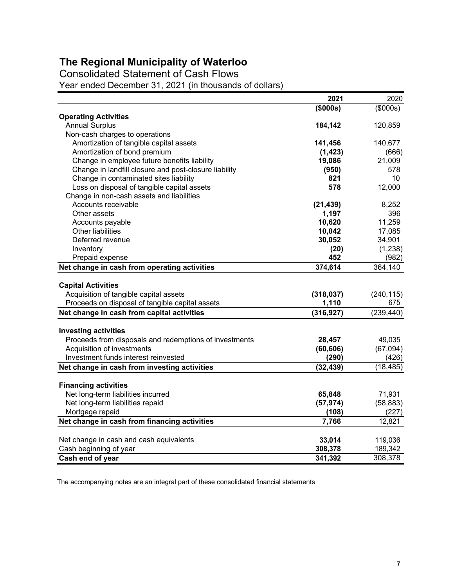Consolidated Statement of Cash Flows

Year ended December 31, 2021 (in thousands of dollars)

|                                                        | 2021       | 2020        |
|--------------------------------------------------------|------------|-------------|
|                                                        | (\$000s)   | $($ \$000s) |
| <b>Operating Activities</b>                            |            |             |
| <b>Annual Surplus</b>                                  | 184,142    | 120,859     |
| Non-cash charges to operations                         |            |             |
| Amortization of tangible capital assets                | 141,456    | 140,677     |
| Amortization of bond premium                           | (1, 423)   | (666)       |
| Change in employee future benefits liability           | 19,086     | 21,009      |
| Change in landfill closure and post-closure liability  | (950)      | 578         |
| Change in contaminated sites liability                 | 821        | 10          |
| Loss on disposal of tangible capital assets            | 578        | 12,000      |
| Change in non-cash assets and liabilities              |            |             |
| Accounts receivable                                    | (21, 439)  | 8,252       |
| Other assets                                           | 1,197      | 396         |
| Accounts payable                                       | 10,620     | 11,259      |
| <b>Other liabilities</b>                               | 10,042     | 17,085      |
| Deferred revenue                                       | 30,052     | 34,901      |
| Inventory                                              | (20)       | (1,238)     |
| Prepaid expense                                        | 452        | (982)       |
| Net change in cash from operating activities           | 374,614    | 364,140     |
|                                                        |            |             |
| <b>Capital Activities</b>                              |            |             |
| Acquisition of tangible capital assets                 | (318, 037) | (240, 115)  |
| Proceeds on disposal of tangible capital assets        | 1,110      | 675         |
| Net change in cash from capital activities             | (316, 927) | (239, 440)  |
| <b>Investing activities</b>                            |            |             |
| Proceeds from disposals and redemptions of investments | 28,457     | 49,035      |
| Acquisition of investments                             | (60, 606)  | (67,094)    |
| Investment funds interest reinvested                   | (290)      | (426)       |
| Net change in cash from investing activities           | (32, 439)  | (18, 485)   |
|                                                        |            |             |
| <b>Financing activities</b>                            |            |             |
| Net long-term liabilities incurred                     | 65,848     | 71,931      |
| Net long-term liabilities repaid                       | (57, 974)  | (58, 883)   |
| Mortgage repaid                                        | (108)      | (227)       |
| Net change in cash from financing activities           | 7,766      | 12,821      |
|                                                        |            |             |
| Net change in cash and cash equivalents                | 33,014     | 119,036     |
| Cash beginning of year                                 | 308,378    | 189,342     |
| Cash end of year                                       | 341,392    | 308,378     |

The accompanying notes are an integral part of these consolidated financial statements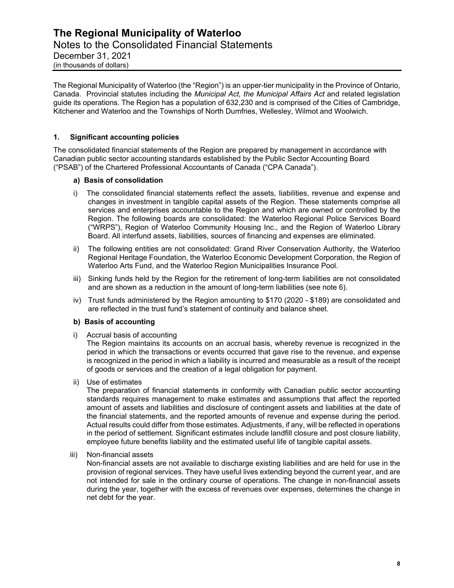### **The Regional Municipality of Waterloo** Notes to the Consolidated Financial Statements December 31, 2021 (in thousands of dollars)

The Regional Municipality of Waterloo (the "Region") is an upper-tier municipality in the Province of Ontario, Canada. Provincial statutes including the *Municipal Act, the Municipal Affairs Act* and related legislation guide its operations. The Region has a population of 632,230 and is comprised of the Cities of Cambridge, Kitchener and Waterloo and the Townships of North Dumfries, Wellesley, Wilmot and Woolwich.

#### **1. Significant accounting policies**

The consolidated financial statements of the Region are prepared by management in accordance with Canadian public sector accounting standards established by the Public Sector Accounting Board ("PSAB") of the Chartered Professional Accountants of Canada ("CPA Canada").

#### **a) Basis of consolidation**

- Region. The following boards are consolidated: the Waterloo Regional Police Services Board i) The consolidated financial statements reflect the assets, liabilities, revenue and expense and changes in investment in tangible capital assets of the Region. These statements comprise all services and enterprises accountable to the Region and which are owned or controlled by the ("WRPS"), Region of Waterloo Community Housing Inc., and the Region of Waterloo Library Board. All interfund assets, liabilities, sources of financing and expenses are eliminated.
- ii) The following entities are not consolidated: Grand River Conservation Authority, the Waterloo Regional Heritage Foundation, the Waterloo Economic Development Corporation, the Region of Waterloo Arts Fund, and the Waterloo Region Municipalities Insurance Pool.
- iii) Sinking funds held by the Region for the retirement of long-term liabilities are not consolidated and are shown as a reduction in the amount of long-term liabilities (see note 6).
- iv) Trust funds administered by the Region amounting to \$170 (2020 \$189) are consolidated and are reflected in the trust fund's statement of continuity and balance sheet.

#### **b) Basis of accounting**

i) Accrual basis of accounting

The Region maintains its accounts on an accrual basis, whereby revenue is recognized in the period in which the transactions or events occurred that gave rise to the revenue, and expense is recognized in the period in which a liability is incurred and measurable as a result of the receipt of goods or services and the creation of a legal obligation for payment.

ii) Use of estimates

The preparation of financial statements in conformity with Canadian public sector accounting standards requires management to make estimates and assumptions that affect the reported amount of assets and liabilities and disclosure of contingent assets and liabilities at the date of the financial statements, and the reported amounts of revenue and expense during the period. Actual results could differ from those estimates. Adjustments, if any, will be reflected in operations in the period of settlement. Significant estimates include landfill closure and post closure liability, employee future benefits liability and the estimated useful life of tangible capital assets.

iii) Non-financial assets

Non-financial assets are not available to discharge existing liabilities and are held for use in the provision of regional services. They have useful lives extending beyond the current year, and are not intended for sale in the ordinary course of operations. The change in non-financial assets during the year, together with the excess of revenues over expenses, determines the change in net debt for the year.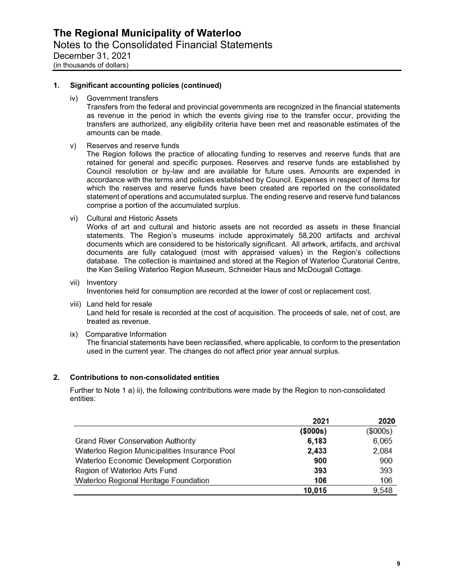#### **1. Significant accounting policies (continued)**

iv) Government transfers

Transfers from the federal and provincial governments are recognized in the financial statements as revenue in the period in which the events giving rise to the transfer occur, providing the transfers are authorized, any eligibility criteria have been met and reasonable estimates of the amounts can be made.

v) Reserves and reserve funds

The Region follows the practice of allocating funding to reserves and reserve funds that are retained for general and specific purposes. Reserves and reserve funds are established by Council resolution or by-law and are available for future uses. Amounts are expended in accordance with the terms and policies established by Council. Expenses in respect of items for which the reserves and reserve funds have been created are reported on the consolidated statement of operations and accumulated surplus. The ending reserve and reserve fund balances comprise a portion of the accumulated surplus.

vi) Cultural and Historic Assets

Works of art and cultural and historic assets are not recorded as assets in these financial statements. The Region's museums include approximately 58,200 artifacts and archival documents which are considered to be historically significant. All artwork, artifacts, and archival documents are fully catalogued (most with appraised values) in the Region's collections database. The collection is maintained and stored at the Region of Waterloo Curatorial Centre, the Ken Seiling Waterloo Region Museum, Schneider Haus and McDougall Cottage.

- vii) Inventory Inventories held for consumption are recorded at the lower of cost or replacement cost.
- viii) Land held for resale Land held for resale is recorded at the cost of acquisition. The proceeds of sale, net of cost, are treated as revenue.
- ix) Comparative Information The financial statements have been reclassified, where applicable, to conform to the presentation used in the current year. The changes do not affect prior year annual surplus.

#### **2. Contributions to non-consolidated entities**

Further to Note 1 a) ii), the following contributions were made by the Region to non-consolidated entities:

|                                                  | 2021     | 2020       |
|--------------------------------------------------|----------|------------|
|                                                  | (\$000s) | $(\$000s)$ |
| <b>Grand River Conservation Authority</b>        | 6,183    | 6,065      |
| Waterloo Region Municipalities Insurance Pool    | 2,433    | 2,084      |
| <b>Waterloo Economic Development Corporation</b> | 900      | 900        |
| Region of Waterloo Arts Fund                     | 393      | 393        |
| <b>Waterloo Regional Heritage Foundation</b>     | 106      | 106        |
|                                                  | 10,015   | 9.548      |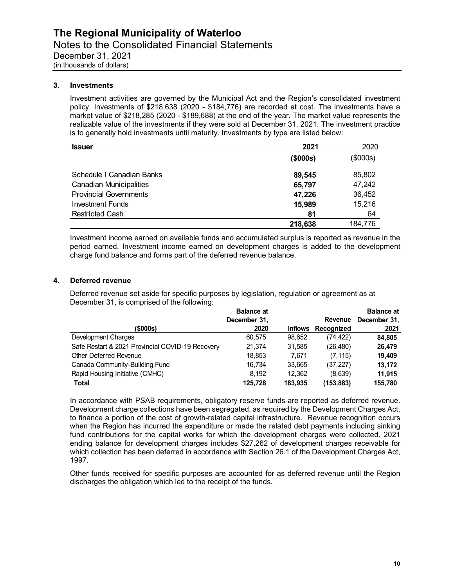#### **3. Investments**

Investment activities are governed by the Municipal Act and the Region's consolidated investment policy. Investments of \$218,638 (2020 - \$184,776) are recorded at cost. The investments have a market value of \$218,285 (2020 - \$189,688) at the end of the year. The market value represents the realizable value of the investments if they were sold at December 31, 2021. The investment practice is to generally hold investments until maturity. Investments by type are listed below:

| <b>Issuer</b>                  | 2021           | 2020     |
|--------------------------------|----------------|----------|
|                                | $($ \$000s $)$ | (\$000s) |
| Schedule I Canadian Banks      | 89,545         | 85,802   |
| <b>Canadian Municipalities</b> | 65,797         | 47,242   |
| <b>Provincial Governments</b>  | 47,226         | 36,452   |
| <b>Investment Funds</b>        | 15,989         | 15,216   |
| <b>Restricted Cash</b>         | 81             | 64       |
|                                | 218,638        | 184,776  |

Investment income earned on available funds and accumulated surplus is reported as revenue in the period earned. Investment income earned on development charges is added to the development charge fund balance and forms part of the deferred revenue balance.

#### **4. Deferred revenue**

Deferred revenue set aside for specific purposes by legislation, regulation or agreement as at December 31, is comprised of the following:

|                                                  | <b>Balance at</b> |                |            | <b>Balance at</b> |
|--------------------------------------------------|-------------------|----------------|------------|-------------------|
|                                                  | December 31,      |                | Revenue    | December 31,      |
| (\$000s)                                         | 2020              | <b>Inflows</b> | Recognized | 2021              |
| Development Charges                              | 60.575            | 98,652         | (74, 422)  | 84,805            |
| Safe Restart & 2021 Provincial COVID-19 Recovery | 21,374            | 31,585         | (26, 480)  | 26,479            |
| Other Deferred Revenue                           | 18,853            | 7.671          | (7, 115)   | 19.409            |
| Canada Community-Building Fund                   | 16.734            | 33.665         | (37, 227)  | 13,172            |
| Rapid Housing Initiative (CMHC)                  | 8.192             | 12,362         | (8,639)    | 11,915            |
| Total                                            | 125.728           | 183.935        | (153,883)  | 155.780           |

In accordance with PSAB requirements, obligatory reserve funds are reported as deferred revenue. Development charge collections have been segregated, as required by the Development Charges Act, to finance a portion of the cost of growth-related capital infrastructure. Revenue recognition occurs when the Region has incurred the expenditure or made the related debt payments including sinking fund contributions for the capital works for which the development charges were collected. 2021 ending balance for development charges includes \$27,262 of development charges receivable for which collection has been deferred in accordance with Section 26.1 of the Development Charges Act, 1997.

Other funds received for specific purposes are accounted for as deferred revenue until the Region discharges the obligation which led to the receipt of the funds.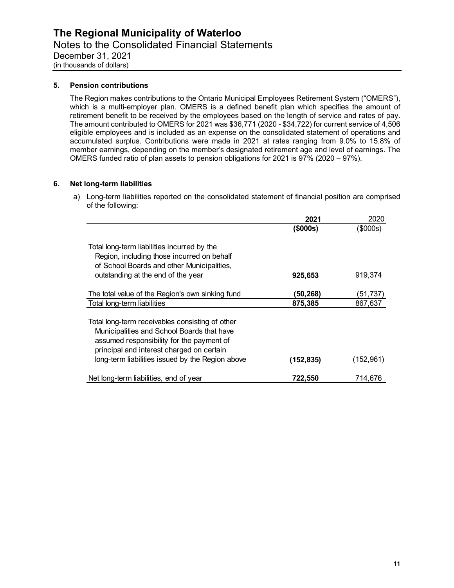#### **5. Pension contributions**

The Region makes contributions to the Ontario Municipal Employees Retirement System ("OMERS"), which is a multi-employer plan. OMERS is a defined benefit plan which specifies the amount of retirement benefit to be received by the employees based on the length of service and rates of pay. The amount contributed to OMERS for 2021 was \$36,771 (2020 - \$34,722) for current service of 4,506 eligible employees and is included as an expense on the consolidated statement of operations and accumulated surplus. Contributions were made in 2021 at rates ranging from 9.0% to 15.8% of member earnings, depending on the member's designated retirement age and level of earnings. The OMERS funded ratio of plan assets to pension obligations for 2021 is 97% (2020 – 97%).

#### **6. Net long-term liabilities**

a) Long-term liabilities reported on the consolidated statement of financial position are comprised of the following:

|                                                                                  | 2021      | 2020      |
|----------------------------------------------------------------------------------|-----------|-----------|
|                                                                                  | (\$000s)  | (\$000s)  |
|                                                                                  |           |           |
| Total long-term liabilities incurred by the                                      |           |           |
| Region, including those incurred on behalf                                       |           |           |
| of School Boards and other Municipalities,<br>outstanding at the end of the year |           |           |
|                                                                                  | 925,653   | 919,374   |
| The total value of the Region's own sinking fund                                 | (50, 268) | (51,737   |
| Total long-term liabilities                                                      | 875,385   | 867,637   |
|                                                                                  |           |           |
| Total long-term receivables consisting of other                                  |           |           |
| Municipalities and School Boards that have                                       |           |           |
| assumed responsibility for the payment of                                        |           |           |
| principal and interest charged on certain                                        |           |           |
| long-term liabilities issued by the Region above                                 | (152,835) | (152,961) |
|                                                                                  |           |           |
| Net long-term liabilities, end of year                                           | 722,550   | 714,676   |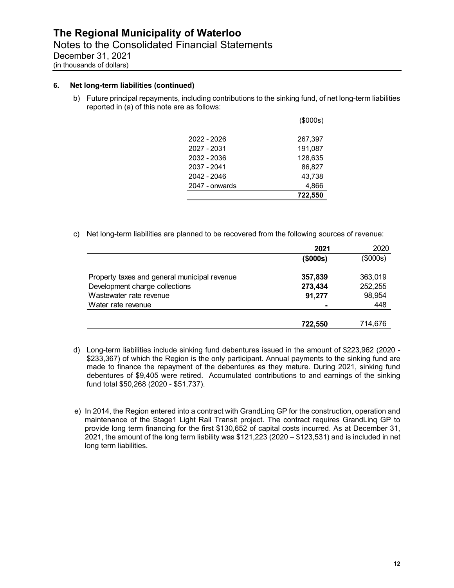#### **6. Net long-term liabilities (continued)**

b) Future principal repayments, including contributions to the sinking fund, of net long-term liabilities reported in (a) of this note are as follows:

|                | 722.550  |
|----------------|----------|
| 2047 - onwards | 4,866    |
| 2042 - 2046    | 43,738   |
| 2037 - 2041    | 86,827   |
| 2032 - 2036    | 128.635  |
| 2027 - 2031    | 191,087  |
| 2022 - 2026    | 267,397  |
|                | (\$000s) |

c) Net long-term liabilities are planned to be recovered from the following sources of revenue:

|                                              | 2021           | 2020     |
|----------------------------------------------|----------------|----------|
|                                              | $($ \$000s $)$ | (\$000s) |
| Property taxes and general municipal revenue | 357,839        | 363,019  |
| Development charge collections               | 273,434        | 252,255  |
| Wastewater rate revenue                      | 91,277         | 98,954   |
| Water rate revenue                           |                | 448      |
|                                              |                |          |
|                                              | 722.550        | 714,676  |

- fund total \$50,268 (2020 \$51,737). d) Long-term liabilities include sinking fund debentures issued in the amount of \$223,962 (2020 - \$233,367) of which the Region is the only participant. Annual payments to the sinking fund are made to finance the repayment of the debentures as they mature. During 2021, sinking fund debentures of \$9,405 were retired. Accumulated contributions to and earnings of the sinking
- e) In 2014, the Region entered into a contract with GrandLing GP for the construction, operation and maintenance of the Stage1 Light Rail Transit project. The contract requires GrandLinq GP to provide long term financing for the first \$130,652 of capital costs incurred. As at December 31, 2021, the amount of the long term liability was \$121,223 (2020 – \$123,531) and is included in net long term liabilities.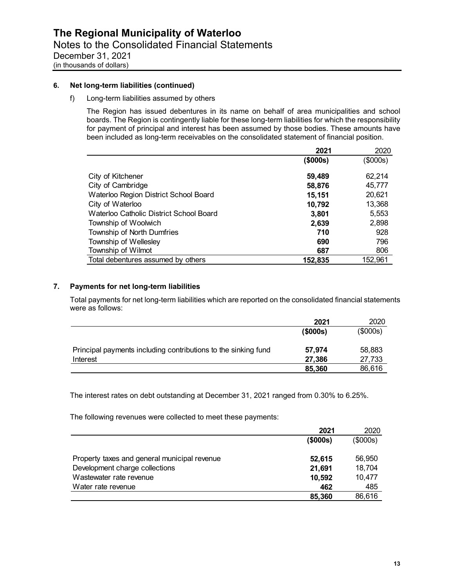#### **6. Net long-term liabilities (continued)**

#### f) Long-term liabilities assumed by others

The Region has issued debentures in its name on behalf of area municipalities and school boards. The Region is contingently liable for these long-term liabilities for which the responsibility for payment of principal and interest has been assumed by those bodies. These amounts have been included as long-term receivables on the consolidated statement of financial position.

|                                         | 2021     | 2020     |
|-----------------------------------------|----------|----------|
|                                         | (\$000s) | (\$000s) |
| City of Kitchener                       | 59,489   | 62,214   |
| City of Cambridge                       | 58,876   | 45,777   |
| Waterloo Region District School Board   | 15,151   | 20,621   |
| City of Waterloo                        | 10,792   | 13,368   |
| Waterloo Catholic District School Board | 3,801    | 5,553    |
| Township of Woolwich                    | 2,639    | 2,898    |
| Township of North Dumfries              | 710      | 928      |
| Township of Wellesley                   | 690      | 796      |
| Township of Wilmot                      | 687      | 806      |
| Total debentures assumed by others      | 152,835  | 152,961  |

#### **7. Payments for net long-term liabilities**

Total payments for net long-term liabilities which are reported on the consolidated financial statements were as follows:

|                                                                | 2021           | 2020     |
|----------------------------------------------------------------|----------------|----------|
|                                                                | $($ \$000s $)$ | (\$000s) |
| Principal payments including contributions to the sinking fund | 57,974         | 58,883   |
| Interest                                                       | 27,386         | 27,733   |
|                                                                | 85,360         | 86,616   |

The interest rates on debt outstanding at December 31, 2021 ranged from 0.30% to 6.25%.

The following revenues were collected to meet these payments:

|                                              | 2021           | 2020     |
|----------------------------------------------|----------------|----------|
|                                              | $($ \$000s $)$ | (\$000s) |
|                                              |                |          |
| Property taxes and general municipal revenue | 52,615         | 56,950   |
| Development charge collections               | 21,691         | 18,704   |
| Wastewater rate revenue                      | 10,592         | 10,477   |
| Water rate revenue                           | 462            | 485      |
|                                              | 85,360         | 86,616   |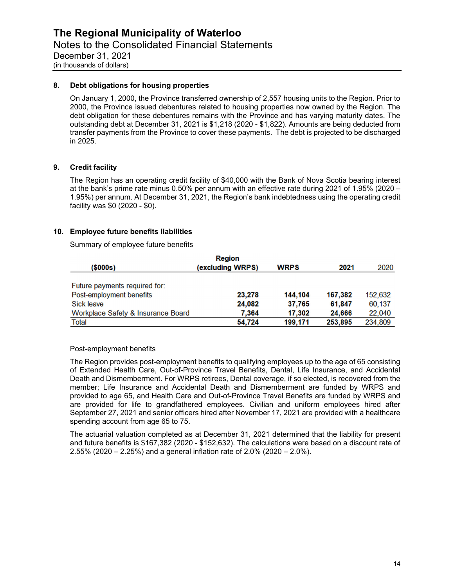#### **8. Debt obligations for housing properties**

On January 1, 2000, the Province transferred ownership of 2,557 housing units to the Region. Prior to 2000, the Province issued debentures related to housing properties now owned by the Region. The debt obligation for these debentures remains with the Province and has varying maturity dates. The outstanding debt at December 31, 2021 is \$1,218 (2020 - \$1,822). Amounts are being deducted from transfer payments from the Province to cover these payments. The debt is projected to be discharged in 2025.

#### **9. Credit facility**

The Region has an operating credit facility of \$40,000 with the Bank of Nova Scotia bearing interest at the bank's prime rate minus 0.50% per annum with an effective rate during 2021 of 1.95% (2020 – 1.95%) per annum. At December 31, 2021, the Region's bank indebtedness using the operating credit facility was \$0 (2020 - \$0).

#### **10. Employee future benefits liabilities**

Summary of employee future benefits

| Region                             |                  |             |         |         |
|------------------------------------|------------------|-------------|---------|---------|
| (\$000s)                           | (excluding WRPS) | <b>WRPS</b> | 2021    | 2020    |
|                                    |                  |             |         |         |
| Future payments required for:      |                  |             |         |         |
| Post-employment benefits           | 23,278           | 144.104     | 167.382 | 152,632 |
| Sick leave                         | 24,082           | 37,765      | 61,847  | 60,137  |
| Workplace Safety & Insurance Board | 7.364            | 17.302      | 24,666  | 22,040  |
| Total                              | 54,724           | 199,171     | 253.895 | 234,809 |

Post-employment benefits

The Region provides post-employment benefits to qualifying employees up to the age of 65 consisting of Extended Health Care, Out-of-Province Travel Benefits, Dental, Life Insurance, and Accidental Death and Dismemberment. For WRPS retirees, Dental coverage, if so elected, is recovered from the member; Life Insurance and Accidental Death and Dismemberment are funded by WRPS and provided to age 65, and Health Care and Out-of-Province Travel Benefits are funded by WRPS and are provided for life to grandfathered employees. Civilian and uniform employees hired after September 27, 2021 and senior officers hired after November 17, 2021 are provided with a healthcare spending account from age 65 to 75.

The actuarial valuation completed as at December 31, 2021 determined that the liability for present and future benefits is \$167,382 (2020 - \$152,632). The calculations were based on a discount rate of 2.55% (2020 – 2.25%) and a general inflation rate of 2.0% (2020 – 2.0%).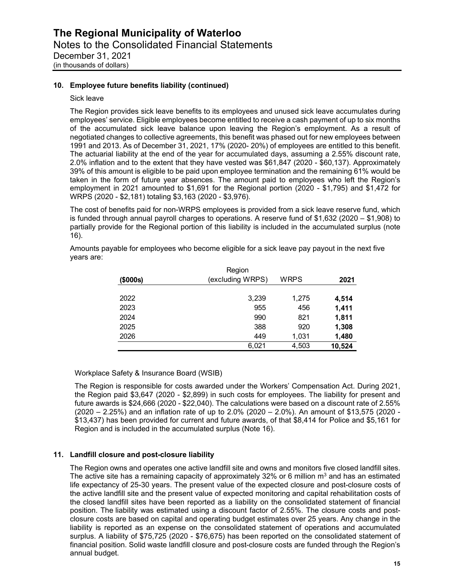#### **10. Employee future benefits liability (continued)**

#### Sick leave

The Region provides sick leave benefits to its employees and unused sick leave accumulates during employees' service. Eligible employees become entitled to receive a cash payment of up to six months of the accumulated sick leave balance upon leaving the Region's employment. As a result of negotiated changes to collective agreements, this benefit was phased out for new employees between 1991 and 2013. As of December 31, 2021, 17% (2020- 20%) of employees are entitled to this benefit. The actuarial liability at the end of the year for accumulated days, assuming a 2.55% discount rate, 2.0% inflation and to the extent that they have vested was \$61,847 (2020 - \$60,137). Approximately 39% of this amount is eligible to be paid upon employee termination and the remaining 61% would be taken in the form of future year absences. The amount paid to employees who left the Region's employment in 2021 amounted to \$1,691 for the Regional portion (2020 - \$1,795) and \$1,472 for WRPS (2020 - \$2,181) totaling \$3,163 (2020 - \$3,976).

The cost of benefits paid for non-WRPS employees is provided from a sick leave reserve fund, which is funded through annual payroll charges to operations. A reserve fund of \$1,632 (2020 – \$1,908) to partially provide for the Regional portion of this liability is included in the accumulated surplus (note 16).

| (\$000s) | Region<br>(excluding WRPS) | <b>WRPS</b> | 2021   |
|----------|----------------------------|-------------|--------|
|          |                            |             |        |
| 2022     | 3,239                      | 1,275       | 4,514  |
| 2023     | 955                        | 456         | 1,411  |
| 2024     | 990                        | 821         | 1,811  |
| 2025     | 388                        | 920         | 1,308  |
| 2026     | 449                        | 1,031       | 1,480  |
|          | 6,021                      | 4,503       | 10,524 |

years are: Amounts payable for employees who become eligible for a sick leave pay payout in the next five years are: Region

#### Workplace Safety & Insurance Board (WSIB)

The Region is responsible for costs awarded under the Workers' Compensation Act. During 2021, the Region paid \$3,647 (2020 - \$2,899) in such costs for employees. The liability for present and future awards is \$24,666 (2020 - \$22,040). The calculations were based on a discount rate of 2.55% (2020 – 2.25%) and an inflation rate of up to 2.0% (2020 – 2.0%). An amount of \$13,575 (2020 - \$13,437) has been provided for current and future awards, of that \$8,414 for Police and \$5,161 for Region and is included in the accumulated surplus (Note 16).

#### **11. Landfill closure and post-closure liability**

The Region owns and operates one active landfill site and owns and monitors five closed landfill sites. The active site has a remaining capacity of approximately 32% or 6 million  $m<sup>3</sup>$  and has an estimated life expectancy of 25-30 years. The present value of the expected closure and post-closure costs of the active landfill site and the present value of expected monitoring and capital rehabilitation costs of the closed landfill sites have been reported as a liability on the consolidated statement of financial position. The liability was estimated using a discount factor of 2.55%. The closure costs and postclosure costs are based on capital and operating budget estimates over 25 years. Any change in the liability is reported as an expense on the consolidated statement of operations and accumulated surplus. A liability of \$75,725 (2020 - \$76,675) has been reported on the consolidated statement of financial position. Solid waste landfill closure and post-closure costs are funded through the Region's annual budget.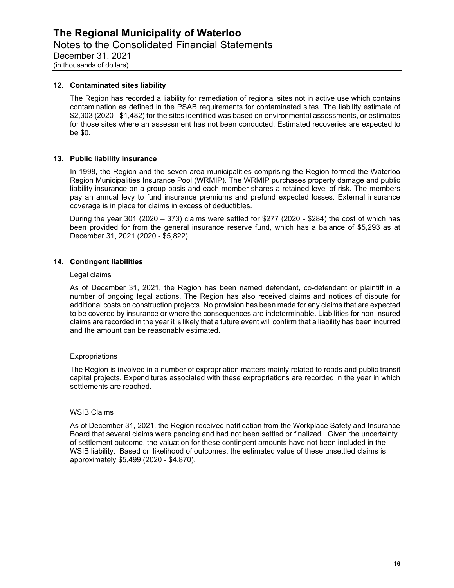#### **12. Contaminated sites liability**

The Region has recorded a liability for remediation of regional sites not in active use which contains contamination as defined in the PSAB requirements for contaminated sites. The liability estimate of \$2,303 (2020 - \$1,482) for the sites identified was based on environmental assessments, or estimates for those sites where an assessment has not been conducted. Estimated recoveries are expected to be \$0.

#### **13. Public liability insurance**

In 1998, the Region and the seven area municipalities comprising the Region formed the Waterloo Region Municipalities Insurance Pool (WRMIP). The WRMIP purchases property damage and public liability insurance on a group basis and each member shares a retained level of risk. The members pay an annual levy to fund insurance premiums and prefund expected losses. External insurance coverage is in place for claims in excess of deductibles.

During the year 301 (2020 – 373) claims were settled for \$277 (2020 - \$284) the cost of which has been provided for from the general insurance reserve fund, which has a balance of \$5,293 as at December 31, 2021 (2020 - \$5,822).

#### **14. Contingent liabilities**

#### Legal claims

As of December 31, 2021, the Region has been named defendant, co-defendant or plaintiff in a number of ongoing legal actions. The Region has also received claims and notices of dispute for additional costs on construction projects. No provision has been made for any claims that are expected to be covered by insurance or where the consequences are indeterminable. Liabilities for non-insured claims are recorded in the year it is likely that a future event will confirm that a liability has been incurred and the amount can be reasonably estimated.

#### **Expropriations**

The Region is involved in a number of expropriation matters mainly related to roads and public transit capital projects. Expenditures associated with these expropriations are recorded in the year in which settlements are reached.

#### WSIB Claims

As of December 31, 2021, the Region received notification from the Workplace Safety and Insurance Board that several claims were pending and had not been settled or finalized. Given the uncertainty of settlement outcome, the valuation for these contingent amounts have not been included in the WSIB liability. Based on likelihood of outcomes, the estimated value of these unsettled claims is approximately \$5,499 (2020 - \$4,870).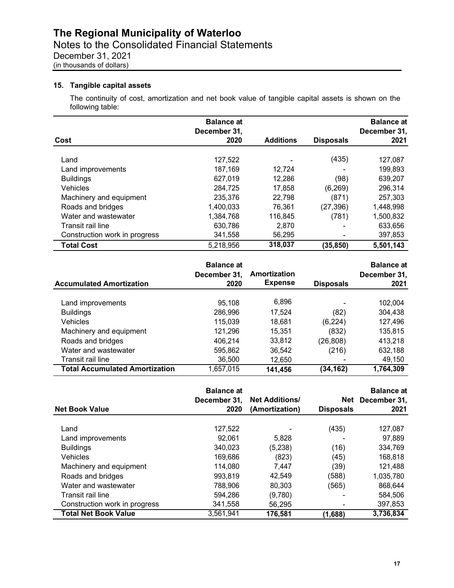#### **15. Tangible capital assets**

The continuity of cost, amortization and net book value of tangible capital assets is shown on the following table:

|                               | <b>Balance at</b><br>December 31, |                  |                  | <b>Balance at</b><br>December 31, |
|-------------------------------|-----------------------------------|------------------|------------------|-----------------------------------|
| Cost                          | 2020                              | <b>Additions</b> | <b>Disposals</b> | 2021                              |
| Land                          | 127,522                           |                  | (435)            | 127,087                           |
| Land improvements             | 187,169                           | 12,724           |                  | 199,893                           |
| <b>Buildings</b>              | 627,019                           | 12,286           | (98)             | 639,207                           |
| <b>Vehicles</b>               | 284,725                           | 17,858           | (6, 269)         | 296,314                           |
| Machinery and equipment       | 235,376                           | 22,798           | (871)            | 257,303                           |
| Roads and bridges             | 1,400,033                         | 76,361           | (27, 396)        | 1,448,998                         |
| Water and wastewater          | 1,384,768                         | 116,845          | (781)            | 1,500,832                         |
| Transit rail line             | 630,786                           | 2,870            |                  | 633,656                           |
| Construction work in progress | 341,558                           | 56,295           |                  | 397,853                           |
| <b>Total Cost</b>             | 5,218,956                         | 318,037          | (35, 850)        | 5,501,143                         |

| <b>Accumulated Amortization</b>       | <b>Balance at</b><br>December 31,<br>2020 | Amortization<br><b>Expense</b> | <b>Disposals</b>         | <b>Balance at</b><br>December 31,<br>2021 |
|---------------------------------------|-------------------------------------------|--------------------------------|--------------------------|-------------------------------------------|
| Land improvements                     | 95.108                                    | 6,896                          | $\overline{\phantom{0}}$ | 102,004                                   |
| <b>Buildings</b>                      | 286,996                                   | 17,524                         | (82)                     | 304,438                                   |
| <b>Vehicles</b>                       | 115,039                                   | 18.681                         | (6, 224)                 | 127,496                                   |
| Machinery and equipment               | 121,296                                   | 15,351                         | (832)                    | 135,815                                   |
| Roads and bridges                     | 406,214                                   | 33,812                         | (26, 808)                | 413,218                                   |
| Water and wastewater                  | 595,862                                   | 36,542                         | (216)                    | 632.188                                   |
| Transit rail line                     | 36,500                                    | 12,650                         |                          | 49,150                                    |
| <b>Total Accumulated Amortization</b> | 1,657,015                                 | 141,456                        | (34, 162)                | 1,764,309                                 |

| <b>Net Book Value</b>         | <b>Balance at</b><br>December 31,<br>2020 | <b>Net Additions/</b><br>(Amortization) | Net<br><b>Disposals</b> | <b>Balance at</b><br>December 31,<br>2021 |
|-------------------------------|-------------------------------------------|-----------------------------------------|-------------------------|-------------------------------------------|
| Land                          | 127,522                                   |                                         | (435)                   | 127,087                                   |
| Land improvements             | 92.061                                    | 5.828                                   |                         | 97,889                                    |
| <b>Buildings</b>              | 340.023                                   | (5,238)                                 | (16)                    | 334,769                                   |
| <b>Vehicles</b>               | 169,686                                   | (823)                                   | (45)                    | 168,818                                   |
| Machinery and equipment       | 114,080                                   | 7,447                                   | (39)                    | 121,488                                   |
| Roads and bridges             | 993,819                                   | 42,549                                  | (588)                   | 1,035,780                                 |
| Water and wastewater          | 788,906                                   | 80,303                                  | (565)                   | 868,644                                   |
| Transit rail line             | 594.286                                   | (9,780)                                 |                         | 584.506                                   |
| Construction work in progress | 341,558                                   | 56.295                                  |                         | 397,853                                   |
| <b>Total Net Book Value</b>   | 3,561,941                                 | 176,581                                 | (1,688)                 | 3,736,834                                 |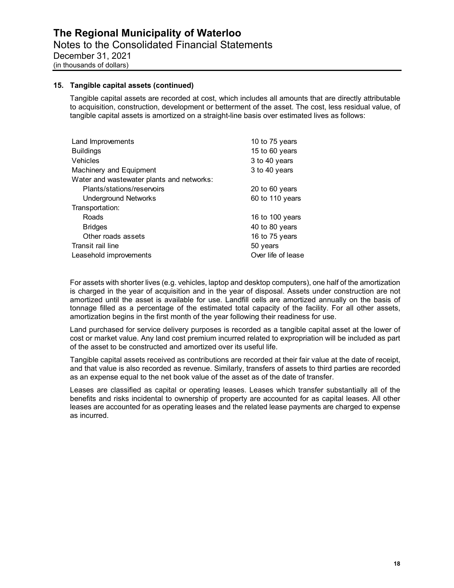#### **15. Tangible capital assets (continued)**

Tangible capital assets are recorded at cost, which includes all amounts that are directly attributable to acquisition, construction, development or betterment of the asset. The cost, less residual value, of tangible capital assets is amortized on a straight-line basis over estimated lives as follows:

| Land Improvements                         | 10 to 75 years     |
|-------------------------------------------|--------------------|
| <b>Buildings</b>                          | 15 to 60 years     |
| <b>Vehicles</b>                           | 3 to 40 years      |
| Machinery and Equipment                   | 3 to 40 years      |
| Water and wastewater plants and networks: |                    |
| Plants/stations/reservoirs                | 20 to 60 years     |
| <b>Underground Networks</b>               | 60 to 110 years    |
| Transportation:                           |                    |
| Roads                                     | 16 to 100 years    |
| <b>Bridges</b>                            | 40 to 80 years     |
| Other roads assets                        | 16 to 75 years     |
| Transit rail line                         | 50 years           |
| Leasehold improvements                    | Over life of lease |

For assets with shorter lives (e.g. vehicles, laptop and desktop computers), one half of the amortization is charged in the year of acquisition and in the year of disposal. Assets under construction are not amortized until the asset is available for use. Landfill cells are amortized annually on the basis of tonnage filled as a percentage of the estimated total capacity of the facility. For all other assets, amortization begins in the first month of the year following their readiness for use.

Land purchased for service delivery purposes is recorded as a tangible capital asset at the lower of cost or market value. Any land cost premium incurred related to expropriation will be included as part of the asset to be constructed and amortized over its useful life.

Tangible capital assets received as contributions are recorded at their fair value at the date of receipt, and that value is also recorded as revenue. Similarly, transfers of assets to third parties are recorded as an expense equal to the net book value of the asset as of the date of transfer.

Leases are classified as capital or operating leases. Leases which transfer substantially all of the benefits and risks incidental to ownership of property are accounted for as capital leases. All other leases are accounted for as operating leases and the related lease payments are charged to expense as incurred.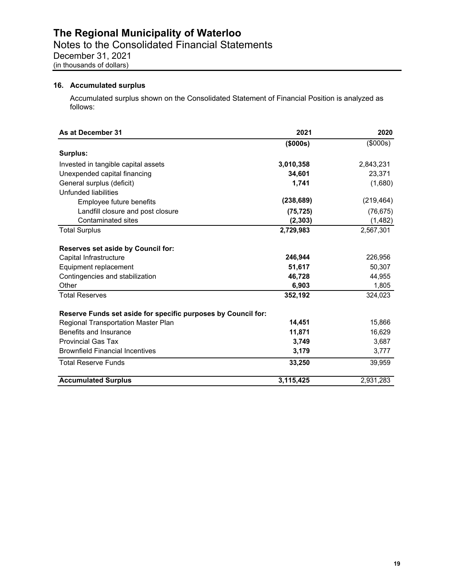#### **16. Accumulated surplus**

Accumulated surplus shown on the Consolidated Statement of Financial Position is analyzed as follows:

| As at December 31                                             | 2021       | 2020       |
|---------------------------------------------------------------|------------|------------|
|                                                               | (\$000s)   | (\$000s)   |
| Surplus:                                                      |            |            |
| Invested in tangible capital assets                           | 3,010,358  | 2,843,231  |
| Unexpended capital financing                                  | 34,601     | 23,371     |
| General surplus (deficit)                                     | 1,741      | (1,680)    |
| Unfunded liabilities                                          |            |            |
| Employee future benefits                                      | (238, 689) | (219, 464) |
| Landfill closure and post closure                             | (75, 725)  | (76, 675)  |
| <b>Contaminated sites</b>                                     | (2, 303)   | (1, 482)   |
| <b>Total Surplus</b>                                          | 2,729,983  | 2,567,301  |
| <b>Reserves set aside by Council for:</b>                     |            |            |
| Capital Infrastructure                                        | 246,944    | 226,956    |
| Equipment replacement                                         | 51,617     | 50,307     |
| Contingencies and stabilization                               | 46,728     | 44,955     |
| Other                                                         | 6,903      | 1,805      |
| <b>Total Reserves</b>                                         | 352,192    | 324,023    |
| Reserve Funds set aside for specific purposes by Council for: |            |            |
| Regional Transportation Master Plan                           | 14,451     | 15,866     |
| Benefits and Insurance                                        | 11,871     | 16,629     |
| <b>Provincial Gas Tax</b>                                     | 3,749      | 3,687      |
| <b>Brownfield Financial Incentives</b>                        | 3,179      | 3,777      |
| <b>Total Reserve Funds</b>                                    | 33,250     | 39,959     |
| <b>Accumulated Surplus</b>                                    | 3,115,425  | 2,931,283  |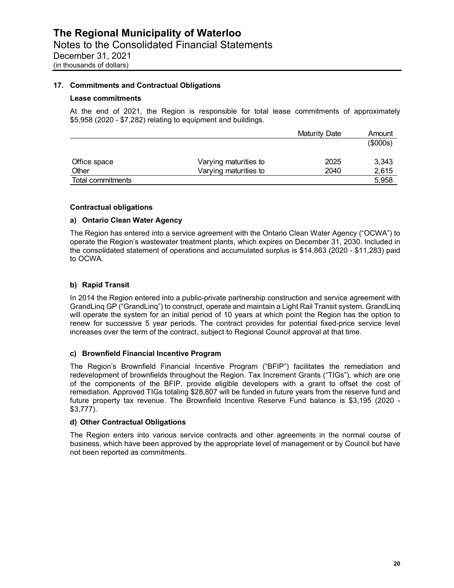#### **17. Commitments and Contractual Obligations**

#### **Lease commitments**

At the end of 2021, the Region is responsible for total lease commitments of approximately \$5,958 (2020 - \$7,282) relating to equipment and buildings.

|                   |                       | Maturity Date | Amount   |
|-------------------|-----------------------|---------------|----------|
|                   |                       |               | (\$000s) |
| Office space      | Varying maturities to | 2025          | 3,343    |
| Other             | Varying maturities to | 2040          | 2,615    |
| Total commitments |                       |               | 5,958    |

#### **Contractual obligations**

#### **a) Ontario Clean Water Agency**

The Region has entered into a service agreement with the Ontario Clean Water Agency ("OCWA") to operate the Region's wastewater treatment plants, which expires on December 31, 2030. Included in the consolidated statement of operations and accumulated surplus is \$14,863 (2020 - \$11,283) paid to OCWA.

#### **b) Rapid Transit**

In 2014 the Region entered into a public-private partnership construction and service agreement with GrandLinq GP ("GrandLinq") to construct, operate and maintain a Light Rail Transit system. GrandLinq will operate the system for an initial period of 10 years at which point the Region has the option to renew for successive 5 year periods. The contract provides for potential fixed-price service level increases over the term of the contract, subject to Regional Council approval at that time.

#### **c) Brownfield Financial Incentive Program**

The Region's Brownfield Financial Incentive Program ("BFIP") facilitates the remediation and redevelopment of brownfields throughout the Region. Tax Increment Grants ("TIGs"), which are one of the components of the BFIP, provide eligible developers with a grant to offset the cost of remediation. Approved TIGs totaling \$28,807 will be funded in future years from the reserve fund and future property tax revenue. The Brownfield Incentive Reserve Fund balance is \$3,195 (2020 - \$3,777).

#### **d) Other Contractual Obligations**

The Region enters into various service contracts and other agreements in the normal course of business, which have been approved by the appropriate level of management or by Council but have not been reported as commitments.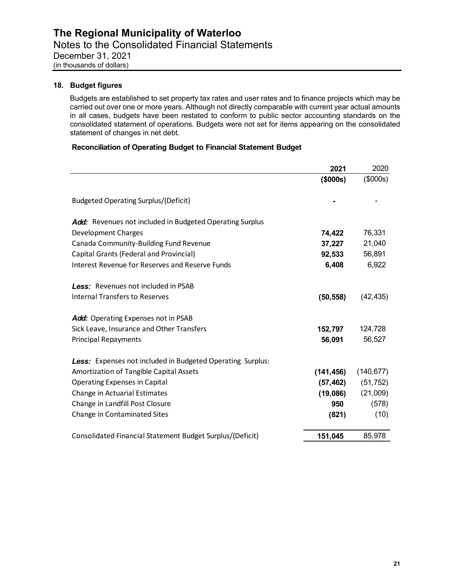#### **18. Budget figures**

Budgets are established to set property tax rates and user rates and to finance projects which may be carried out over one or more years. Although not directly comparable with current year actual amounts in all cases, budgets have been restated to conform to public sector accounting standards on the consolidated statement of operations. Budgets were not set for items appearing on the consolidated statement of changes in net debt.

#### **Reconciliation of Operating Budget to Financial Statement Budget**

|                                                                   | 2021       | 2020       |
|-------------------------------------------------------------------|------------|------------|
|                                                                   | (\$000s)   | (\$000s)   |
| <b>Budgeted Operating Surplus/(Deficit)</b>                       |            |            |
| Add: Revenues not included in Budgeted Operating Surplus          |            |            |
| Development Charges                                               | 74,422     | 76,331     |
| Canada Community-Building Fund Revenue                            | 37,227     | 21,040     |
| Capital Grants (Federal and Provincial)                           | 92,533     | 56,891     |
| <b>Interest Revenue for Reserves and Reserve Funds</b>            | 6,408      | 6,922      |
| Less: Revenues not included in PSAB                               |            |            |
| <b>Internal Transfers to Reserves</b>                             | (50, 558)  | (42, 435)  |
| Add: Operating Expenses not in PSAB                               |            |            |
| Sick Leave, Insurance and Other Transfers                         | 152,797    | 124,728    |
| <b>Principal Repayments</b>                                       | 56,091     | 56,527     |
| <b>Less:</b> Expenses not included in Budgeted Operating Surplus: |            |            |
| Amortization of Tangible Capital Assets                           | (141, 456) | (140, 677) |
| <b>Operating Expenses in Capital</b>                              | (57, 462)  | (51, 752)  |
| Change in Actuarial Estimates                                     | (19,086)   | (21,009)   |
| Change in Landfill Post Closure                                   | 950        | (578)      |
| Change in Contaminated Sites                                      | (821)      | (10)       |
| Consolidated Financial Statement Budget Surplus/(Deficit)         | 151,045    | 85,978     |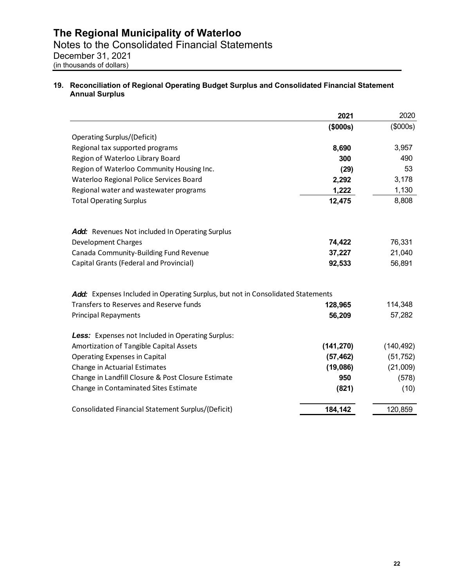#### **19. Reconciliation of Regional Operating Budget Surplus and Consolidated Financial Statement Annual Surplus**

|                                                                                 | 2021       | 2020       |
|---------------------------------------------------------------------------------|------------|------------|
|                                                                                 | (\$000s)   | (\$000s)   |
| Operating Surplus/(Deficit)                                                     |            |            |
| Regional tax supported programs                                                 | 8,690      | 3,957      |
| Region of Waterloo Library Board                                                | 300        | 490        |
| Region of Waterloo Community Housing Inc.                                       | (29)       | 53         |
| Waterloo Regional Police Services Board                                         | 2,292      | 3,178      |
| Regional water and wastewater programs                                          | 1,222      | 1,130      |
| <b>Total Operating Surplus</b>                                                  | 12,475     | 8,808      |
| Add: Revenues Not included In Operating Surplus                                 |            |            |
| <b>Development Charges</b>                                                      | 74,422     | 76,331     |
| Canada Community-Building Fund Revenue                                          | 37,227     | 21,040     |
| Capital Grants (Federal and Provincial)                                         | 92,533     | 56,891     |
| Add: Expenses Included in Operating Surplus, but not in Consolidated Statements |            |            |
| Transfers to Reserves and Reserve funds                                         | 128,965    | 114,348    |
| <b>Principal Repayments</b>                                                     | 56,209     | 57,282     |
| Less: Expenses not Included in Operating Surplus:                               |            |            |
| Amortization of Tangible Capital Assets                                         | (141, 270) | (140, 492) |
| <b>Operating Expenses in Capital</b>                                            | (57, 462)  | (51, 752)  |
| Change in Actuarial Estimates                                                   | (19,086)   | (21,009)   |
| Change in Landfill Closure & Post Closure Estimate                              | 950        | (578)      |
| Change in Contaminated Sites Estimate                                           | (821)      | (10)       |
| Consolidated Financial Statement Surplus/(Deficit)                              | 184,142    | 120,859    |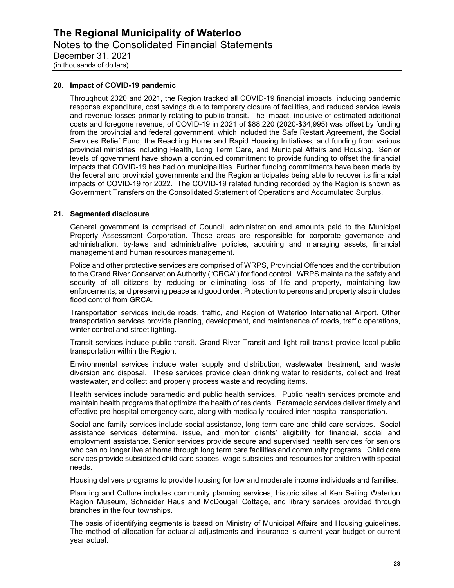#### **20. Impact of COVID-19 pandemic**

 impacts of COVID-19 for 2022. The COVID-19 related funding recorded by the Region is shown as Throughout 2020 and 2021, the Region tracked all COVID-19 financial impacts, including pandemic response expenditure, cost savings due to temporary closure of facilities, and reduced service levels and revenue losses primarily relating to public transit. The impact, inclusive of estimated additional costs and foregone revenue, of COVID-19 in 2021 of \$88,220 (2020-\$34,995) was offset by funding from the provincial and federal government, which included the Safe Restart Agreement, the Social Services Relief Fund, the Reaching Home and Rapid Housing Initiatives, and funding from various provincial ministries including Health, Long Term Care, and Municipal Affairs and Housing. Senior levels of government have shown a continued commitment to provide funding to offset the financial impacts that COVID-19 has had on municipalities. Further funding commitments have been made by the federal and provincial governments and the Region anticipates being able to recover its financial Government Transfers on the Consolidated Statement of Operations and Accumulated Surplus.

#### **21. Segmented disclosure**

General government is comprised of Council, administration and amounts paid to the Municipal Property Assessment Corporation. These areas are responsible for corporate governance and administration, by-laws and administrative policies, acquiring and managing assets, financial management and human resources management.

Police and other protective services are comprised of WRPS, Provincial Offences and the contribution to the Grand River Conservation Authority ("GRCA") for flood control. WRPS maintains the safety and security of all citizens by reducing or eliminating loss of life and property, maintaining law enforcements, and preserving peace and good order. Protection to persons and property also includes flood control from GRCA.

Transportation services include roads, traffic, and Region of Waterloo International Airport. Other transportation services provide planning, development, and maintenance of roads, traffic operations, winter control and street lighting.

Transit services include public transit. Grand River Transit and light rail transit provide local public transportation within the Region.

Environmental services include water supply and distribution, wastewater treatment, and waste diversion and disposal. These services provide clean drinking water to residents, collect and treat wastewater, and collect and properly process waste and recycling items.

Health services include paramedic and public health services. Public health services promote and maintain health programs that optimize the health of residents. Paramedic services deliver timely and effective pre-hospital emergency care, along with medically required inter-hospital transportation.

Social and family services include social assistance, long-term care and child care services. Social assistance services determine, issue, and monitor clients' eligibility for financial, social and employment assistance. Senior services provide secure and supervised health services for seniors who can no longer live at home through long term care facilities and community programs. Child care services provide subsidized child care spaces, wage subsidies and resources for children with special needs.

Housing delivers programs to provide housing for low and moderate income individuals and families.

Planning and Culture includes community planning services, historic sites at Ken Seiling Waterloo Region Museum, Schneider Haus and McDougall Cottage, and library services provided through branches in the four townships.

The basis of identifying segments is based on Ministry of Municipal Affairs and Housing guidelines. The method of allocation for actuarial adjustments and insurance is current year budget or current year actual.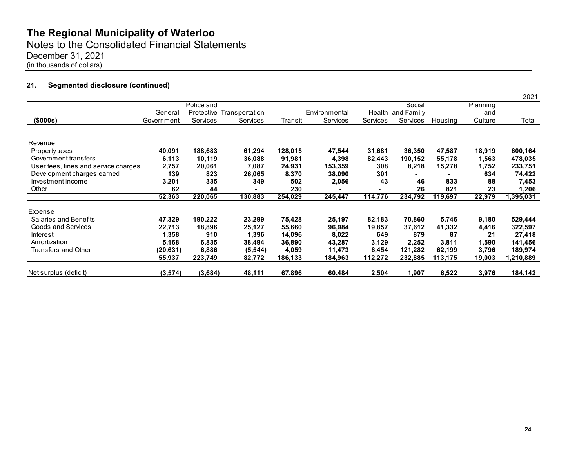Notes to the Consolidated Financial Statements

December 31, 2021

(in thousands of dollars)

### **21. Segmented disclosure (continued)**

|                                      |            |                 |                           |         |               |          |                   |         |          | 2021     |
|--------------------------------------|------------|-----------------|---------------------------|---------|---------------|----------|-------------------|---------|----------|----------|
|                                      |            | Police and      |                           |         |               |          | Social            |         | Planning |          |
|                                      | General    |                 | Protective Transportation |         | Environmental |          | Health and Family |         | and      |          |
| (\$000s)                             | Government | <b>Services</b> | Services                  | Transit | Services      | Services | Services          | Housing | Culture  | Total    |
|                                      |            |                 |                           |         |               |          |                   |         |          |          |
| Revenue                              |            |                 |                           |         |               |          |                   |         |          |          |
| Property taxes                       | 40,091     | 188,683         | 61,294                    | 128,015 | 47,544        | 31,681   | 36,350            | 47,587  | 18,919   | 600,164  |
| Government transfers                 | 6,113      | 10,119          | 36,088                    | 91,981  | 4,398         | 82,443   | 190,152           | 55,178  | 1,563    | 478,035  |
| User fees, fines and service charges | 2,757      | 20,061          | 7,087                     | 24,931  | 153,359       | 308      | 8,218             | 15,278  | 1,752    | 233,751  |
| Development charges earned           | 139        | 823             | 26,065                    | 8,370   | 38,090        | 301      |                   |         | 634      | 74,422   |
| Investment income                    | 3,201      | 335             | 349                       | 502     | 2,056         | 43       | 46                | 833     | 88       | 7,453    |
| Other                                | 62         | 44              |                           | 230     |               |          | 26                | 821     | 23       | 1,206    |
|                                      | 52,363     | 220,065         | 130,883                   | 254,029 | 245,447       | 114,776  | 234,792           | 119,697 | 22,979   | ,395,031 |
| Expense                              |            |                 |                           |         |               |          |                   |         |          |          |
| Salaries and Benefits                | 47,329     | 190,222         | 23,299                    | 75,428  | 25,197        | 82,183   | 70,860            | 5,746   | 9,180    | 529,444  |
| Goods and Services                   | 22,713     | 18,896          | 25,127                    | 55,660  | 96,984        | 19,857   | 37,612            | 41,332  | 4,416    | 322,597  |
| Interest                             | 1,358      | 910             | 1,396                     | 14,096  | 8,022         | 649      | 879               | 87      | 21       | 27,418   |
| Amortization                         | 5,168      | 6,835           | 38,494                    | 36,890  | 43,287        | 3,129    | 2,252             | 3,811   | 1,590    | 141,456  |
| Transfers and Other                  | (20, 631)  | 6,886           | (5, 544)                  | 4,059   | 11,473        | 6,454    | 121,282           | 62,199  | 3,796    | 189,974  |
|                                      | 55,937     | 223,749         | 82,772                    | 186,133 | 184,963       | 112,272  | 232,885           | 113,175 | 19,003   | ,210,889 |
| Net surplus (deficit)                | (3,574)    | (3,684)         | 48,111                    | 67,896  | 60,484        | 2,504    | 1,907             | 6,522   | 3,976    | 184,142  |